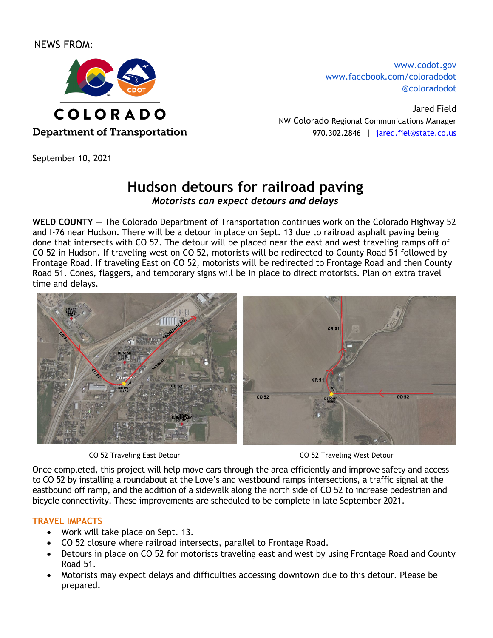NEWS FROM:



**Department of Transportation** 

September 10, 2021

[www.codot.gov](http://www.coloradodot.info/) [www.facebook.com/coloradodot](http://www.facebook.com/coloradodot) [@coloradodot](https://twitter.com/ColoradoDOT)

Jared Field NW Colorado Regional Communications Manager 970.302.2846 | [jared.fiel@state.co.us](mailto:jared.fiel@state.co.us)

# **Hudson detours for railroad paving**

*Motorists can expect detours and delays*

**WELD COUNTY** — The Colorado Department of Transportation continues work on the Colorado Highway 52 and I-76 near Hudson. There will be a detour in place on Sept. 13 due to railroad asphalt paving being done that intersects with CO 52. The detour will be placed near the east and west traveling ramps off of CO 52 in Hudson. If traveling west on CO 52, motorists will be redirected to County Road 51 followed by Frontage Road. If traveling East on CO 52, motorists will be redirected to Frontage Road and then County Road 51. Cones, flaggers, and temporary signs will be in place to direct motorists. Plan on extra travel time and delays.



CO 52 Traveling East Detour CO 52 Traveling West Detour

Once completed, this project will help move cars through the area efficiently and improve safety and access to CO 52 by installing a roundabout at the Love's and westbound ramps intersections, a traffic signal at the eastbound off ramp, and the addition of a sidewalk along the north side of CO 52 to increase pedestrian and bicycle connectivity. These improvements are scheduled to be complete in late September 2021.

# **TRAVEL IMPACTS**

- Work will take place on Sept. 13.
- CO 52 closure where railroad intersects, parallel to Frontage Road.
- Detours in place on CO 52 for motorists traveling east and west by using Frontage Road and County Road 51.
- Motorists may expect delays and difficulties accessing downtown due to this detour. Please be prepared.